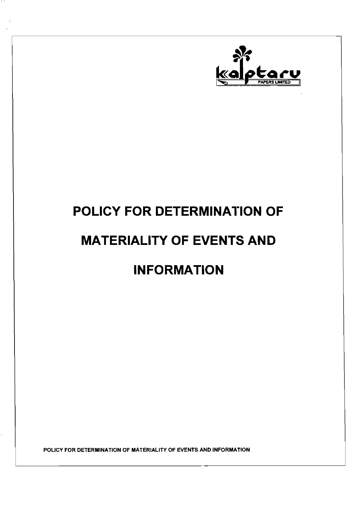

# **POLICY FOR DETERMINATION OF MATERIALITY OF EVENTS AND INFORMATION**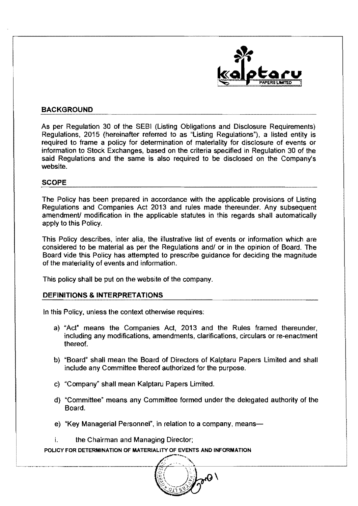

#### BACKGROUND

As per Regulation 30 of the SESI (Listing Obligations and Disclosure Requirements) Regulations, 2015 (hereinafter referred to as "Listing Regulations"), a listed entity is required to frame a policy for determination of materiality for disclosure of events or information to Stock Exchanges, based on the criteria specified in Regulation 30 of the said Regulations and the same is also required to be disclosed on the Company's website.

#### SCOPE

The Policy has been prepared in accordance with the applicable provisions of Listing Regulations and Companies Act 2013 and rules made thereunder. Any subsequent amendment/ modification in the applicable statutes in this regards shall automatically apply to this Policy.

This Policy describes, inter alia, the illustrative list of events or information which are considered to be material as per the Regulations and/ or in the opinion of Board. The Board vide this Policy has attempted to prescribe guidance for deciding the magnitude of the materiality of events and information.

This policy shall be put on the website of the company.

#### DEFINITIONS & INTERPRETATIONS

In this Policy, unless the context otherwise requires:

- a) "Act" means the Companies Act, 2013 and the Rules framed thereunder, including any modifications, amendments, clarifications, circulars or re-enactment thereof.
- b) "Board" shall mean the Board of Directors of Kalptaru Papers Limited and shall include any Committee thereof authorized for the purpose.
- c) "Company" shall mean Kalptaru Papers Limited.
- d) "Committee" means any Committee formed under the delegated authority of the Board.
- e) "Key Managerial Personnel", in relation to a company, means-
- i. the Chairman and Managing Director;

- '. -"---""-------------+~"'--\_\_\_\_'c~\\_\_------------------'  $\mathcal{P}_{\mathcal{P}}\Theta$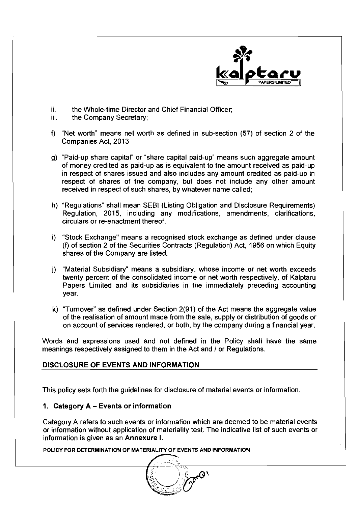

- ii. the Whole-time Director and Chief Financial Officer;<br>iii. the Company Secretary:
- the Company Secretary;
- f) "Net worth" means net worth as defined in sub-section (57) of section 2 of the Companies Act, 2013
- g) "Paid-up share capital" or "share capital paid-up" means such aggregate amount of money credited as paid-up as is equivalent to the amount received as paid-up in respect of shares issued and also includes any amount credited as paid-up in respect of shares of the company, but does not include any other amount received in respect of such shares, by whatever name called;
- h) "Regulations" shall mean SEBI (Listing Obligation and Disclosure Requirements) Regulation, 2015, including any modifications, amendments, clarifications, circulars or re-enactment thereof.
- i) "Stock Exchange" means a recognised stock exchange as defined under clause (f) of section 2 of the Securities Contracts (Regulation) Act, 1956 on which Equity shares of the Company are listed.
- j) "Material Subsidiary" means a subsidiary, whose income or net worth exceeds twenty percent of the consolidated income or net worth respectively, of Kalptaru Papers Limited and its subsidiaries in the immediately preceding accounting year.
- k) "Turnover" as defined under Section  $2(91)$  of the Act means the aggregate value of the realisation of amount made from the sale, supply or distribution of goods or on account of services rendered, or both, by the company during a financial year.

Words and expressions used and not defined in the Policy shall have the same meanings respectively assigned to them in the Act and / or Regulations.

# DISCLOSURE OF EVENTS AND INFORMATION

This policy sets forth the guidelines for disclosure of material events or information.

# 1. Category A - Events or information

Category A refers to such events or information which are deemed to be material events or information without application of materiality test. The indicative list of such events or information is given as an Annexure I.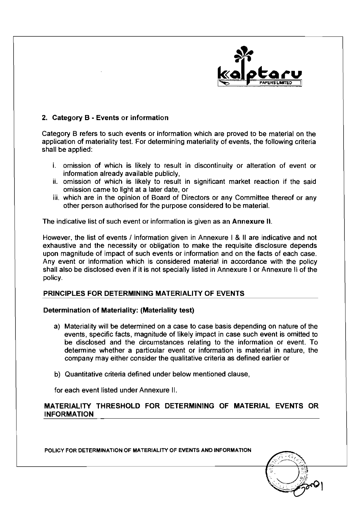

#### 2. Category B - Events or information

Category B refers to such events or information which are proved to be material on the application of materiality test. For determining materiality of events, the following criteria shall be applied:

- i. omission of which is likely to result in discontinuity or alteration of event or information already available publicly,
- ii. omission of which is likely to result in significant market reaction if the said omission came to light at a later date, or
- iii. which are in the opinion of Board of Directors or any Committee thereof or any other person authorised for the purpose considered to be material.

The indicative list of such event or information is given as an Annexure II.

However, the list of events / information given in Annexure | & II are indicative and not exhaustive and the necessity or obligation to make the requisite disclosure depends upon magnitude of impact of such events or information and on the facts of each case. Any event or information which is considered material in accordance with the policy shall also be disclosed even if it is not specially listed in Annexure I or Annexure II of the policy.

# PRINCIPLES FOR DETERMINING MATERIALITY OF EVENTS

#### Determination of Materiality: (Materiality test)

- a) Materiality will be determined on a case to case basis depending on nature of the events, specific facts, magnitude of likely impact in case such event is omitted to be disclosed and the circumstances relating to the information or event. To determine whether a particular event or information is material in nature, the company may either consider the qualitative criteria as defined earlier or
- b) Quantitative criteria defined under below mentioned clause,

for each event listed under Annexure II.

#### MATERIALITY THRESHOLD FOR DETERMINING OF MATERIAL EVENTS OR INFORMATION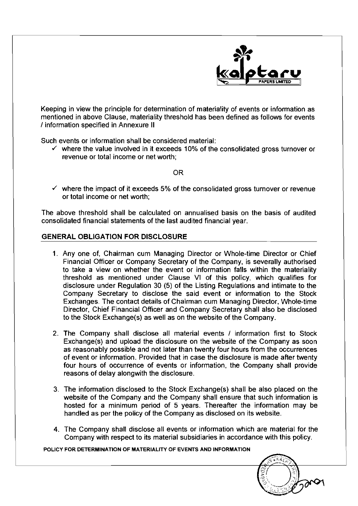

Keeping in view the principle for determination of materiality of events or information as mentioned in above Clause, materiality threshold has been defined as follows for events I information specified in Annexure II

Such events or information shall be considered material:

 $\checkmark$  where the value involved in it exceeds 10% of the consolidated gross turnover or revenue or total income or net worth;

OR

 $\checkmark$  where the impact of it exceeds 5% of the consolidated gross turnover or revenue or total income or net worth;

The above threshold shall be calculated on annualised basis on the basis of audited consolidated financial statements of the last audited financial year.

#### **GENERAL** OBLIGATION FOR DISCLOSURE

- 1. Any one of, Chairman cum Managing Director or Whole-time Director or Chief Financial Officer or Company Secretary of the Company, is severally authorised to take a view on whether the event or information falls within the materiality threshold as mentioned under Clause VI of this policy, which qualifies for disclosure under Regulation 30 (5) of the Listing Regulations and intimate to the Company Secretary to disclose the said event or information to the Stock Exchanges. The contact details of Chairman cum Managing Director, Whole-time Director, Chief Financial Officer and Company Secretary shall also be disclosed to the Stock Exchange(s) as well as on the website of the Company.
- 2. The Company shall disclose all material events / information first to Stock Exchange(s) and upload the disclosure on the website of the Company as soon as reasonably possible and not later than twenty four hours from the occurrences of event or information. Provided that in case the disclosure is made after twenty four hours of occurrence of events or information, the Company shall provide reasons of delay alongwith the disclosure.
- 3. The information disclosed to the Stock Exchange(s) shall be also placed on the website of the Company and the Company shall ensure that such information is hosted for a minimum period of 5 years. Thereafter the information may be handled as per the policy of the Company as disclosed on its website.
- 4. The Company shall disclose all events or information which are material for the Company with respect to its material subsidiaries in accordance with this policy.

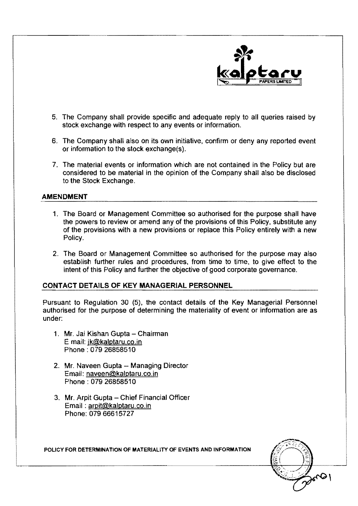

- 5. The Company shall provide specific and adequate reply to all queries raised by stock exchange with respect to any events or information.
- 6. The Company shall also on its own initiative, confirm or deny any reported event or information to the stock exchange(s).
- 7. The material events or information which are not contained in the Policy but are considered to be material in the opinion of the Company shall also be disclosed to the Stock Exchange.

#### AMENDMENT

- 1. The Board or Management Committee so authorised for the purpose shall have the powers to review or amend any of the provisions of this Policy, substitute any of the provisions with a new provisions or replace this Policy entirely with a new Policy.
- 2. The Board or Management Committee so authorised for the purpose may also establish further rules and procedures, from time to time, to give effect to the intent of this Policy and further the objective of good corporate governance.

#### CONTACT DETAILS OF KEY MANAGERIAL PERSONNEL

Pursuant to Regulation 30 (5), the contact details of the Key Managerial Personnel authorised for the purpose of determining the materiality of event or information are as under:

- 1. Mr. Jai Kishan Gupta Chairman Email: jk@kalptaru.co.in Phone: 079 26858510
- 2. Mr. Naveen Gupta Managing Director Email: naveen@kalptaru.co.in Phone: 079 26858510
- 3. Mr. Arpit Gupta Chief Financial Officer Email: arpit@kalptaru.co.in Phone: 07966615727

 $\mathbf{L}$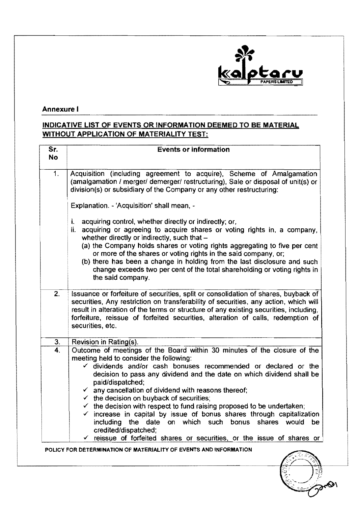

# Annexure I

# INDICATIVE LIST OF EVENTS OR INFORMATION DEEMED TO BE MATERIAL WITHOUT APPLICATION OF MATERIALITY TEST:

| Sr.<br>No.     | <b>Events or information</b>                                                                                                                                                                                                                                                                                                                                                                                                                                                                                              |
|----------------|---------------------------------------------------------------------------------------------------------------------------------------------------------------------------------------------------------------------------------------------------------------------------------------------------------------------------------------------------------------------------------------------------------------------------------------------------------------------------------------------------------------------------|
| 1 <sub>1</sub> | Acquisition (including agreement to acquire), Scheme of Amalgamation<br>(amalgamation / merger/ demerger/ restructuring), Sale or disposal of unit(s) or<br>division(s) or subsidiary of the Company or any other restructuring:                                                                                                                                                                                                                                                                                          |
|                | Explanation. - 'Acquisition' shall mean, -                                                                                                                                                                                                                                                                                                                                                                                                                                                                                |
|                | acquiring control, whether directly or indirectly; or,<br>i.<br>ii. acquiring or agreeing to acquire shares or voting rights in, a company,<br>whether directly or indirectly, such that -<br>(a) the Company holds shares or voting rights aggregating to five per cent<br>or more of the shares or voting rights in the said company, or;<br>(b) there has been a change in holding from the last disclosure and such<br>change exceeds two per cent of the total shareholding or voting rights in<br>the said company. |
| 2.             | Issuance or forfeiture of securities, split or consolidation of shares, buyback of<br>securities, Any restriction on transferability of securities, any action, which will<br>result in alteration of the terms or structure of any existing securities, including,<br>forfeiture, reissue of forfeited securities, alteration of calls, redemption of<br>securities, etc.                                                                                                                                                |
| 3.             | Revision in Rating(s).                                                                                                                                                                                                                                                                                                                                                                                                                                                                                                    |
| 4.             | Outcome of meetings of the Board within 30 minutes of the closure of the<br>meeting held to consider the following:<br>$\checkmark$ dividends and/or cash bonuses recommended or declared or the<br>decision to pass any dividend and the date on which dividend shall be<br>paid/dispatched;                                                                                                                                                                                                                             |
|                | $\checkmark$ any cancellation of dividend with reasons thereof;<br>$\checkmark$ the decision on buyback of securities;                                                                                                                                                                                                                                                                                                                                                                                                    |
|                | $\checkmark$ the decision with respect to fund raising proposed to be undertaken;                                                                                                                                                                                                                                                                                                                                                                                                                                         |
|                | increase in capital by issue of bonus shares through capitalization                                                                                                                                                                                                                                                                                                                                                                                                                                                       |
|                | including the date on which such bonus<br>shares would<br>be<br>credited/dispatched;                                                                                                                                                                                                                                                                                                                                                                                                                                      |
|                | $\checkmark$ reissue of forfeited shares or securities, or the issue of shares or                                                                                                                                                                                                                                                                                                                                                                                                                                         |
|                | POLICY FOR DETERMINATION OF MATERIALITY OF EVENTS AND INFORMATION                                                                                                                                                                                                                                                                                                                                                                                                                                                         |

500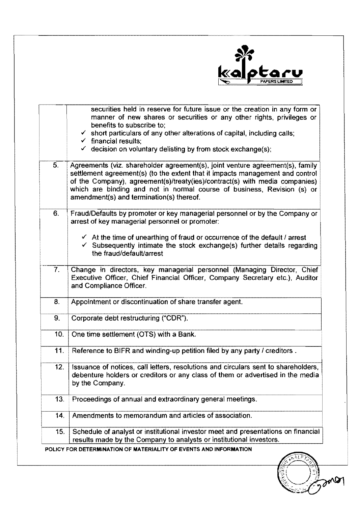

|                  | securities held in reserve for future issue or the creation in any form or<br>manner of new shares or securities or any other rights, privileges or<br>benefits to subscribe to:<br>$\checkmark$ short particulars of any other alterations of capital, including calls;<br>$\checkmark$ financial results:<br>$\checkmark$ decision on voluntary delisting by from stock exchange(s); |
|------------------|----------------------------------------------------------------------------------------------------------------------------------------------------------------------------------------------------------------------------------------------------------------------------------------------------------------------------------------------------------------------------------------|
| 5.               | Agreements (viz. shareholder agreement(s), joint venture agreement(s), family<br>settlement agreement(s) (to the extent that it impacts management and control<br>of the Company), agreement(s)/treaty(ies)/contract(s) with media companies)<br>which are binding and not in normal course of business, Revision (s) or<br>amendment(s) and termination(s) thereof.                   |
| 6.               | Fraud/Defaults by promoter or key managerial personnel or by the Company or<br>arrest of key managerial personnel or promoter:<br>$\checkmark$ At the time of unearthing of fraud or occurrence of the default / arrest<br>$\checkmark$ Subsequently intimate the stock exchange(s) further details regarding<br>the fraud/default/arrest                                              |
| $\overline{7}$ . | Change in directors, key managerial personnel (Managing Director, Chief<br>Executive Officer, Chief Financial Officer, Company Secretary etc.), Auditor<br>and Compliance Officer.                                                                                                                                                                                                     |
| 8.               | Appointment or discontinuation of share transfer agent.                                                                                                                                                                                                                                                                                                                                |
| 9.               | Corporate debt restructuring ("CDR").                                                                                                                                                                                                                                                                                                                                                  |
| 10.              | One time settlement (OTS) with a Bank.                                                                                                                                                                                                                                                                                                                                                 |
| 11.              | Reference to BIFR and winding-up petition filed by any party / creditors.                                                                                                                                                                                                                                                                                                              |
| 12.              | Issuance of notices, call letters, resolutions and circulars sent to shareholders,<br>debenture holders or creditors or any class of them or advertised in the media<br>by the Company.                                                                                                                                                                                                |
| 13.              | Proceedings of annual and extraordinary general meetings.                                                                                                                                                                                                                                                                                                                              |
| 14.              | Amendments to memorandum and articles of association.                                                                                                                                                                                                                                                                                                                                  |
|                  |                                                                                                                                                                                                                                                                                                                                                                                        |

 $\frac{1}{2}$  may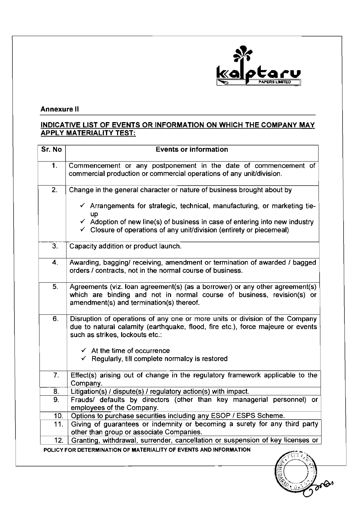

# Annexure II

# INDICATIVE LIST OF EVENTS OR INFORMATION ON WHICH THE COMPANY MAY APPLY MATERIALITY TEST:

| Sr. No | <b>Events or information</b>                                                                                                                                                                                                                                            |
|--------|-------------------------------------------------------------------------------------------------------------------------------------------------------------------------------------------------------------------------------------------------------------------------|
| 1.     | Commencement or any postponement in the date of commencement of<br>commercial production or commercial operations of any unit/division.                                                                                                                                 |
| 2.     | Change in the general character or nature of business brought about by                                                                                                                                                                                                  |
|        | $\checkmark$ Arrangements for strategic, technical, manufacturing, or marketing tie-<br>up<br>$\checkmark$ Adoption of new line(s) of business in case of entering into new industry<br>$\checkmark$ Closure of operations of any unit/division (entirety or piecemeal) |
| 3.     | Capacity addition or product launch.                                                                                                                                                                                                                                    |
| 4.     | Awarding, bagging/ receiving, amendment or termination of awarded / bagged<br>orders / contracts, not in the normal course of business.                                                                                                                                 |
| 5.     | Agreements (viz. loan agreement(s) (as a borrower) or any other agreement(s)<br>which are binding and not in normal course of business, revision(s) or<br>amendment(s) and termination(s) thereof.                                                                      |
| 6.     | Disruption of operations of any one or more units or division of the Company<br>due to natural calamity (earthquake, flood, fire etc.), force majeure or events<br>such as strikes, lockouts etc.:                                                                      |
|        | $\checkmark$ At the time of occurrence<br>$\checkmark$ Regularly, till complete normalcy is restored                                                                                                                                                                    |
| 7.     | Effect(s) arising out of change in the regulatory framework applicable to the<br>Company.                                                                                                                                                                               |
| 8.     | Litigation(s) / dispute(s) / regulatory action(s) with impact.                                                                                                                                                                                                          |
| 9.     | Frauds/ defaults by directors (other than key managerial personnel) or<br>employees of the Company.                                                                                                                                                                     |
| 10.    | Options to purchase securities including any ESOP / ESPS Scheme.                                                                                                                                                                                                        |
| 11.    | Giving of guarantees or indemnity or becoming a surety for any third party<br>other than group or associate Companies.                                                                                                                                                  |
| 12.    | Granting, withdrawal, surrender, cancellation or suspension of key licenses or                                                                                                                                                                                          |
|        | POLICY FOR DETERMINATION OF MATERIALITY OF EVENTS AND INFORMATION                                                                                                                                                                                                       |

**Corps**